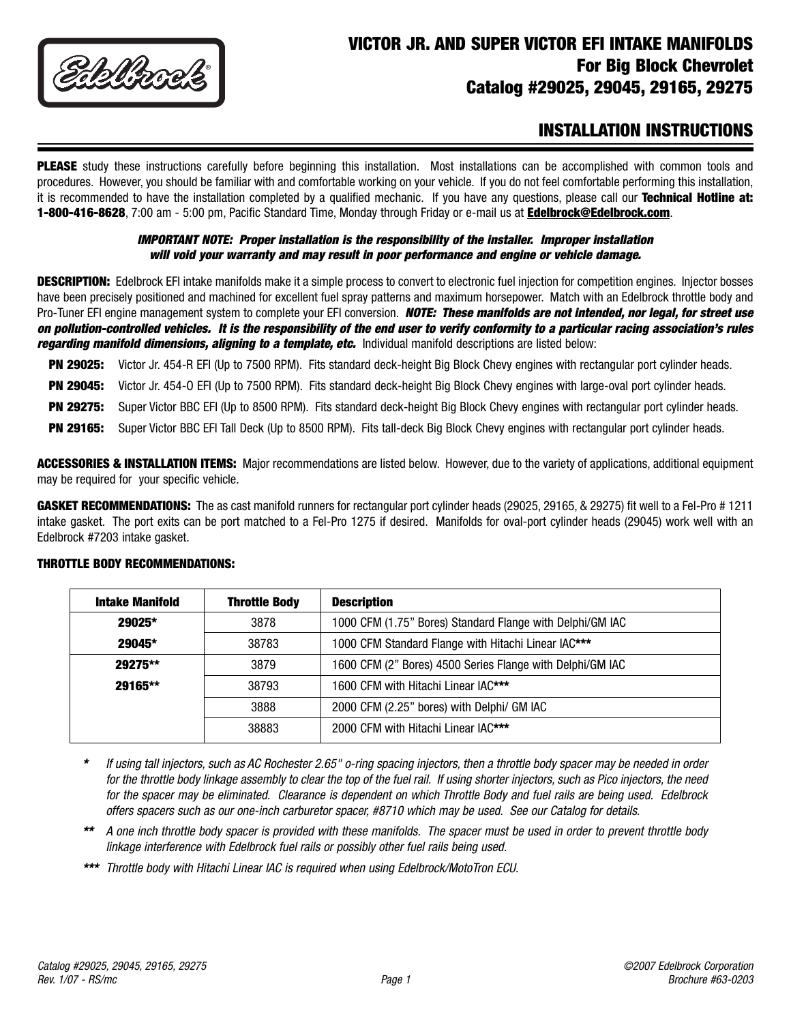

# **VICTOR JR. AND SUPER VICTOR EFI INTAKE MANIFOLDS For Big Block Chevrolet Catalog #29025, 29045, 29165, 29275**

# **INSTALLATION INSTRUCTIONS**

**PLEASE** study these instructions carefully before beginning this installation. Most installations can be accomplished with common tools and procedures. However, you should be familiar with and comfortable working on your vehicle. If you do not feel comfortable performing this installation, it is recommended to have the installation completed by a qualified mechanic. If you have any questions, please call our **Technical Hotline at: 1-800-416-8628**, 7:00 am - 5:00 pm, Pacific Standard Time, Monday through Friday or e-mail us at **Edelbrock@Edelbrock.com**.

## **IMPORTANT NOTE: Proper installation is the responsibility of the installer. Improper installation will void your warranty and may result in poor performance and engine or vehicle damage.**

**DESCRIPTION:** Edelbrock EFI intake manifolds make it a simple process to convert to electronic fuel injection for competition engines. Injector bosses have been precisely positioned and machined for excellent fuel spray patterns and maximum horsepower. Match with an Edelbrock throttle body and Pro-Tuner EFI engine management system to complete your EFI conversion. **NOTE: These manifolds are not intended, nor legal, for street use on pollution-controlled vehicles. It is the responsibility of the end user to verify conformity to a particular racing association's rules regarding manifold dimensions, aligning to a template, etc.** Individual manifold descriptions are listed below:

**PN 29025:** Victor Jr. 454-R EFI (Up to 7500 RPM). Fits standard deck-height Big Block Chevy engines with rectangular port cylinder heads.

**PN 29045:** Victor Jr. 454-O EFI (Up to 7500 RPM). Fits standard deck-height Big Block Chevy engines with large-oval port cylinder heads.

**PN 29275:** Super Victor BBC EFI (Up to 8500 RPM). Fits standard deck-height Big Block Chevy engines with rectangular port cylinder heads.

**PN 29165:** Super Victor BBC EFI Tall Deck (Up to 8500 RPM). Fits tall-deck Big Block Chevy engines with rectangular port cylinder heads.

**ACCESSORIES & INSTALLATION ITEMS:** Major recommendations are listed below. However, due to the variety of applications, additional equipment may be required for your specific vehicle.

**GASKET RECOMMENDATIONS:** The as cast manifold runners for rectangular port cylinder heads (29025, 29165, & 29275) fit well to a Fel-Pro # 1211 intake gasket. The port exits can be port matched to a Fel-Pro 1275 if desired. Manifolds for oval-port cylinder heads (29045) work well with an Edelbrock #7203 intake gasket.

| <b>Intake Manifold</b> | <b>Throttle Body</b> | <b>Description</b>                                        |
|------------------------|----------------------|-----------------------------------------------------------|
| 29025*                 | 3878                 | 1000 CFM (1.75" Bores) Standard Flange with Delphi/GM IAC |
| 29045*                 | 38783                | 1000 CFM Standard Flange with Hitachi Linear IAC***       |
| 29275**                | 3879                 | 1600 CFM (2" Bores) 4500 Series Flange with Delphi/GM IAC |
| 29165**                | 38793                | 1600 CFM with Hitachi Linear IAC***                       |
|                        | 3888                 | 2000 CFM (2.25" bores) with Delphi/ GM IAC                |
|                        | 38883                | 2000 CFM with Hitachi Linear IAC***                       |

### **THROTTLE BODY RECOMMENDATIONS:**

- **\*** If using tall injectors, such as AC Rochester 2.65" o-ring spacing injectors, then a throttle body spacer may be needed in order for the throttle body linkage assembly to clear the top of the fuel rail. If using shorter injectors, such as Pico injectors, the need for the spacer may be eliminated. Clearance is dependent on which Throttle Body and fuel rails are being used. Edelbrock offers spacers such as our one-inch carburetor spacer, #8710 which may be used. See our Catalog for details.
- **\*\*** A one inch throttle body spacer is provided with these manifolds. The spacer must be used in order to prevent throttle body linkage interference with Edelbrock fuel rails or possibly other fuel rails being used.
- **\*\*\*** Throttle body with Hitachi Linear IAC is required when using Edelbrock/MotoTron ECU.